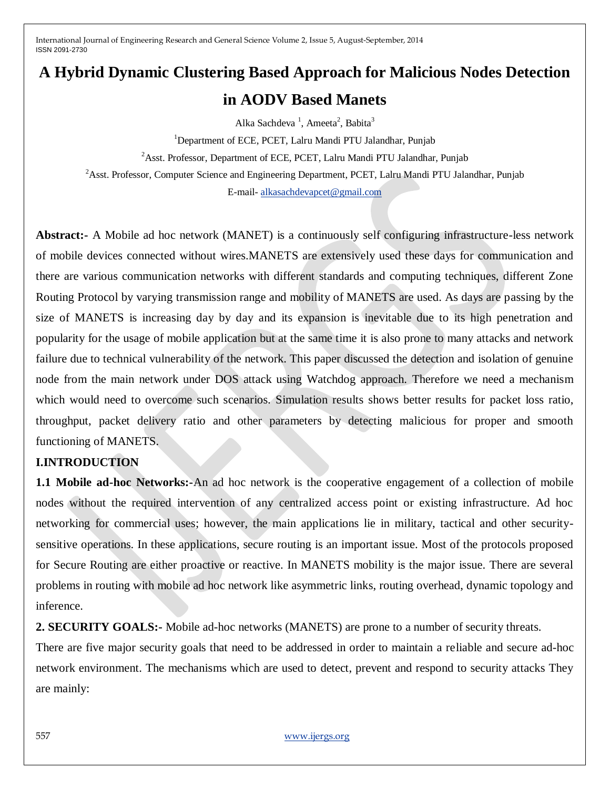# **A Hybrid Dynamic Clustering Based Approach for Malicious Nodes Detection in AODV Based Manets**

Alka Sachdeva<sup>1</sup>, Ameeta<sup>2</sup>, Babita<sup>3</sup>

<sup>1</sup>Department of ECE, PCET, Lalru Mandi PTU Jalandhar, Punjab

<sup>2</sup>Asst. Professor, Department of ECE, PCET, Lalru Mandi PTU Jalandhar, Punjab

<sup>2</sup>Asst. Professor, Computer Science and Engineering Department, PCET, Lalru Mandi PTU Jalandhar, Punjab

E-mail- [alkasachdevapcet@gmail.com](mailto:alkasachdevapcet@gmail.com)

**Abstract:-** A Mobile ad hoc network (MANET) is a continuously self configuring infrastructure-less network of mobile devices connected without wires.MANETS are extensively used these days for communication and there are various communication networks with different standards and computing techniques, different Zone Routing Protocol by varying transmission range and mobility of MANETS are used. As days are passing by the size of MANETS is increasing day by day and its expansion is inevitable due to its high penetration and popularity for the usage of mobile application but at the same time it is also prone to many attacks and network failure due to technical vulnerability of the network. This paper discussed the detection and isolation of genuine node from the main network under DOS attack using Watchdog approach. Therefore we need a mechanism which would need to overcome such scenarios. Simulation results shows better results for packet loss ratio, throughput, packet delivery ratio and other parameters by detecting malicious for proper and smooth functioning of MANETS.

## **I.INTRODUCTION**

**1.1 Mobile ad-hoc Networks:-**An ad hoc network is the cooperative engagement of a collection of mobile nodes without the required intervention of any centralized access point or existing infrastructure. Ad hoc networking for commercial uses; however, the main applications lie in military, tactical and other securitysensitive operations. In these applications, secure routing is an important issue. Most of the protocols proposed for Secure Routing are either proactive or reactive. In MANETS mobility is the major issue. There are several problems in routing with mobile ad hoc network like asymmetric links, routing overhead, dynamic topology and inference.

**2. SECURITY GOALS:-** Mobile ad-hoc networks (MANETS) are prone to a number of security threats.

There are five major security goals that need to be addressed in order to maintain a reliable and secure ad-hoc network environment. The mechanisms which are used to detect, prevent and respond to security attacks They are mainly: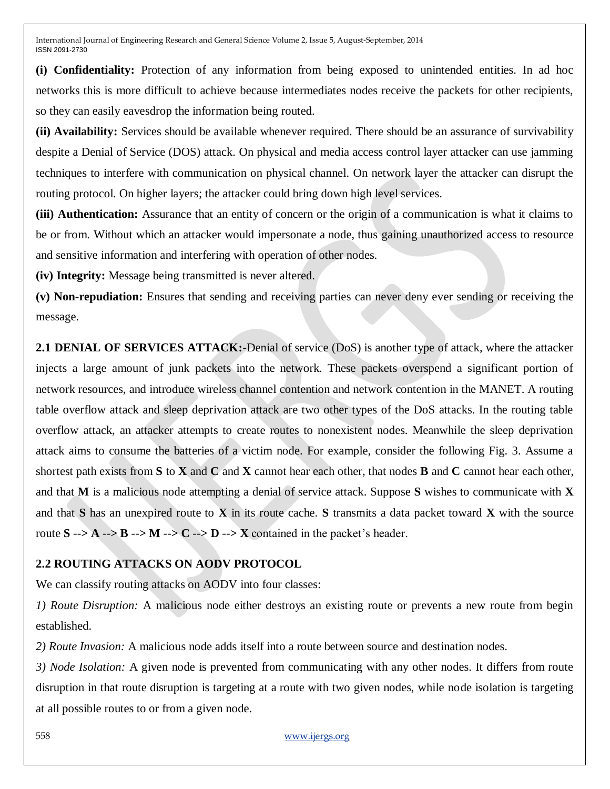**(i) Confidentiality:** Protection of any information from being exposed to unintended entities. In ad hoc networks this is more difficult to achieve because intermediates nodes receive the packets for other recipients, so they can easily eavesdrop the information being routed.

**(ii) Availability:** Services should be available whenever required. There should be an assurance of survivability despite a Denial of Service (DOS) attack. On physical and media access control layer attacker can use jamming techniques to interfere with communication on physical channel. On network layer the attacker can disrupt the routing protocol. On higher layers; the attacker could bring down high level services.

**(iii) Authentication:** Assurance that an entity of concern or the origin of a communication is what it claims to be or from. Without which an attacker would impersonate a node, thus gaining unauthorized access to resource and sensitive information and interfering with operation of other nodes.

**(iv) Integrity:** Message being transmitted is never altered.

**(v) Non-repudiation:** Ensures that sending and receiving parties can never deny ever sending or receiving the message.

**2.1 DENIAL OF SERVICES ATTACK:-**Denial of service (DoS) is another type of attack, where the attacker injects a large amount of junk packets into the network. These packets overspend a significant portion of network resources, and introduce wireless channel contention and network contention in the MANET. A routing table overflow attack and sleep deprivation attack are two other types of the DoS attacks. In the routing table overflow attack, an attacker attempts to create routes to nonexistent nodes. Meanwhile the sleep deprivation attack aims to consume the batteries of a victim node. For example, consider the following Fig. 3. Assume a shortest path exists from **S** to **X** and **C** and **X** cannot hear each other, that nodes **B** and **C** cannot hear each other, and that **M** is a malicious node attempting a denial of service attack. Suppose **S** wishes to communicate with **X**  and that **S** has an unexpired route to **X** in its route cache. **S** transmits a data packet toward **X** with the source route  $S \rightarrow A \rightarrow B \rightarrow M \rightarrow C \rightarrow D \rightarrow X$  contained in the packet's header.

## **2.2 ROUTING ATTACKS ON AODV PROTOCOL**

We can classify routing attacks on AODV into four classes:

*1) Route Disruption:* A malicious node either destroys an existing route or prevents a new route from begin established.

*2) Route Invasion:* A malicious node adds itself into a route between source and destination nodes.

*3) Node Isolation:* A given node is prevented from communicating with any other nodes. It differs from route disruption in that route disruption is targeting at a route with two given nodes, while node isolation is targeting at all possible routes to or from a given node.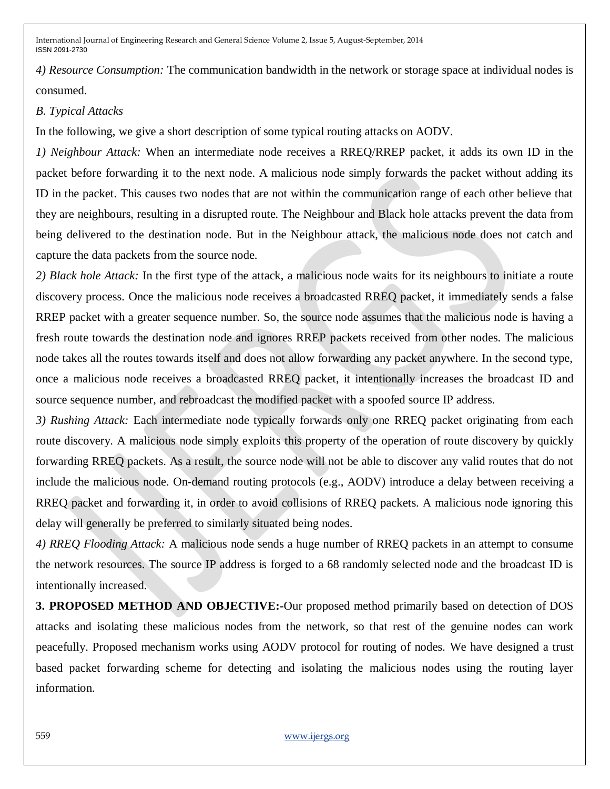*4) Resource Consumption:* The communication bandwidth in the network or storage space at individual nodes is consumed.

## *B. Typical Attacks*

In the following, we give a short description of some typical routing attacks on AODV.

*1) Neighbour Attack:* When an intermediate node receives a RREQ/RREP packet, it adds its own ID in the packet before forwarding it to the next node. A malicious node simply forwards the packet without adding its ID in the packet. This causes two nodes that are not within the communication range of each other believe that they are neighbours, resulting in a disrupted route. The Neighbour and Black hole attacks prevent the data from being delivered to the destination node. But in the Neighbour attack, the malicious node does not catch and capture the data packets from the source node.

*2) Black hole Attack:* In the first type of the attack, a malicious node waits for its neighbours to initiate a route discovery process. Once the malicious node receives a broadcasted RREQ packet, it immediately sends a false RREP packet with a greater sequence number. So, the source node assumes that the malicious node is having a fresh route towards the destination node and ignores RREP packets received from other nodes. The malicious node takes all the routes towards itself and does not allow forwarding any packet anywhere. In the second type, once a malicious node receives a broadcasted RREQ packet, it intentionally increases the broadcast ID and source sequence number, and rebroadcast the modified packet with a spoofed source IP address.

*3) Rushing Attack:* Each intermediate node typically forwards only one RREQ packet originating from each route discovery. A malicious node simply exploits this property of the operation of route discovery by quickly forwarding RREQ packets. As a result, the source node will not be able to discover any valid routes that do not include the malicious node. On-demand routing protocols (e.g., AODV) introduce a delay between receiving a RREQ packet and forwarding it, in order to avoid collisions of RREQ packets. A malicious node ignoring this delay will generally be preferred to similarly situated being nodes.

*4) RREQ Flooding Attack:* A malicious node sends a huge number of RREQ packets in an attempt to consume the network resources. The source IP address is forged to a 68 randomly selected node and the broadcast ID is intentionally increased.

**3. PROPOSED METHOD AND OBJECTIVE:-**Our proposed method primarily based on detection of DOS attacks and isolating these malicious nodes from the network, so that rest of the genuine nodes can work peacefully. Proposed mechanism works using AODV protocol for routing of nodes. We have designed a trust based packet forwarding scheme for detecting and isolating the malicious nodes using the routing layer information.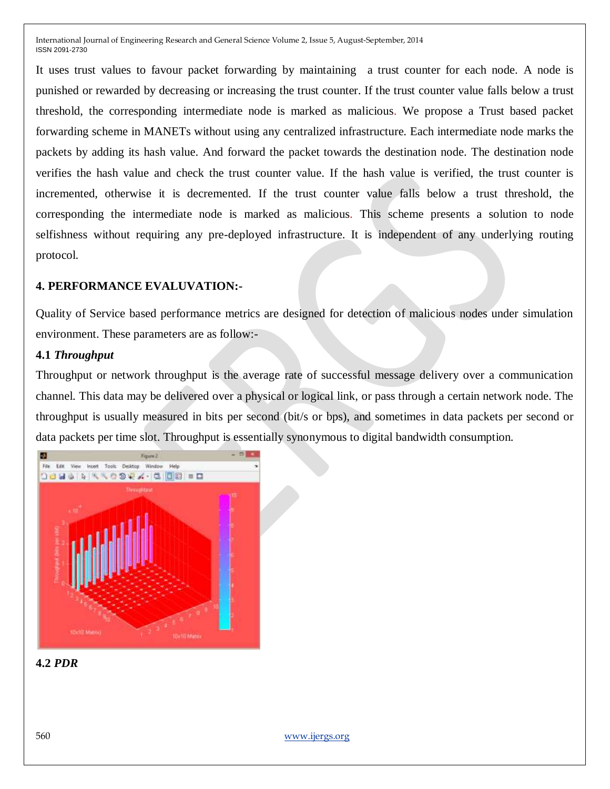It uses trust values to favour packet forwarding by maintaining a trust counter for each node. A node is punished or rewarded by decreasing or increasing the trust counter. If the trust counter value falls below a trust threshold, the corresponding intermediate node is marked as malicious. We propose a Trust based packet forwarding scheme in MANETs without using any centralized infrastructure. Each intermediate node marks the packets by adding its hash value. And forward the packet towards the destination node. The destination node verifies the hash value and check the trust counter value. If the hash value is verified, the trust counter is incremented, otherwise it is decremented. If the trust counter value falls below a trust threshold, the corresponding the intermediate node is marked as malicious. This scheme presents a solution to node selfishness without requiring any pre-deployed infrastructure. It is independent of any underlying routing protocol.

### **4. PERFORMANCE EVALUVATION:-**

Quality of Service based performance metrics are designed for detection of malicious nodes under simulation environment. These parameters are as follow:-

## **4.1** *Throughput*

Throughput or network throughput is the average rate of successful message delivery over a communication channel. This data may be delivered over a physical or logical link, or pass through a certain network node. The throughput is usually measured in bits per second (bit/s or bps), and sometimes in data packets per second or data packets per time slot. Throughput is essentially synonymous to digital bandwidth consumption.



### **4.2** *PDR*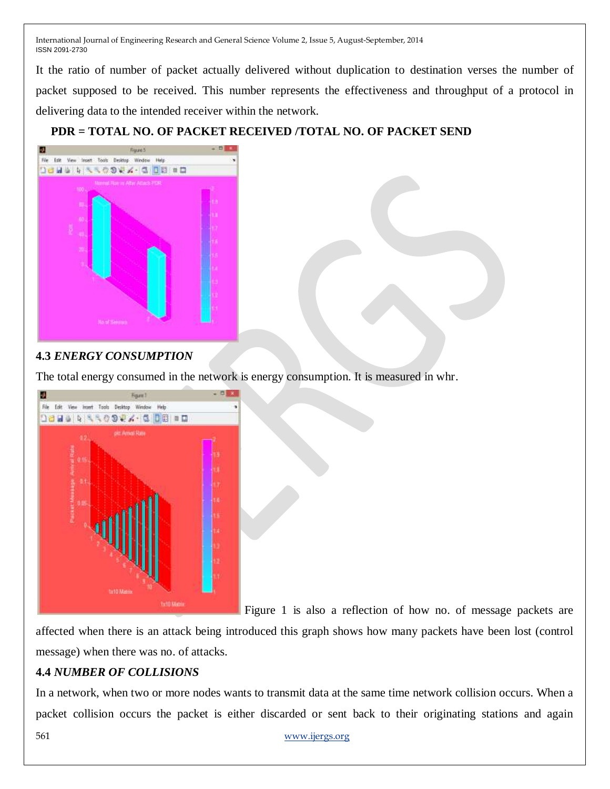It the ratio of number of packet actually delivered without duplication to destination verses the number of packet supposed to be received. This number represents the effectiveness and throughput of a protocol in delivering data to the intended receiver within the network.

# **PDR = TOTAL NO. OF PACKET RECEIVED /TOTAL NO. OF PACKET SEND**



## **4.3** *ENERGY CONSUMPTION*

The total energy consumed in the network is energy consumption. It is measured in whr.



Figure 1 is also a reflection of how no. of message packets are

affected when there is an attack being introduced this graph shows how many packets have been lost (control message) when there was no. of attacks.

# **4.4** *NUMBER OF COLLISIONS*

In a network, when two or more nodes wants to transmit data at the same time network collision occurs. When a packet collision occurs the packet is either discarded or sent back to their originating stations and again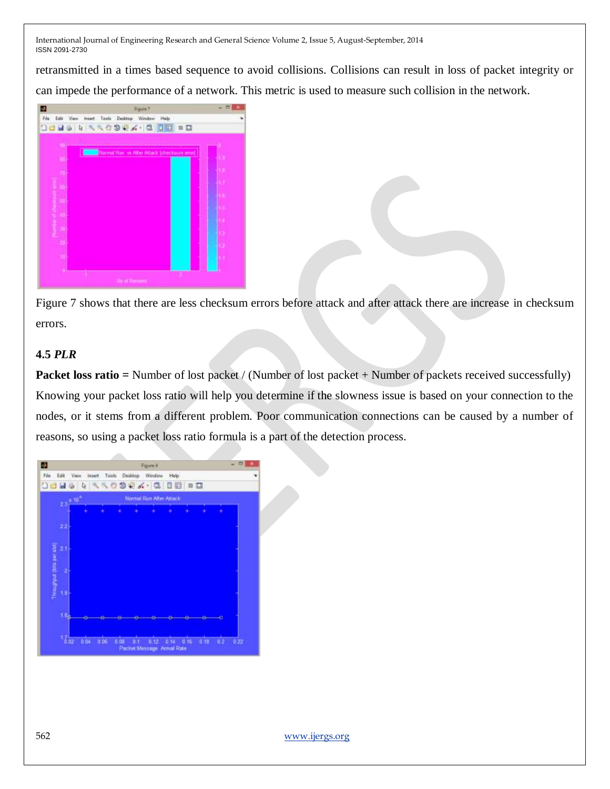retransmitted in a times based sequence to avoid collisions. Collisions can result in loss of packet integrity or can impede the performance of a network. This metric is used to measure such collision in the network.

|                                 | <b>Pigune 7</b>                                                      | ٠ |
|---------------------------------|----------------------------------------------------------------------|---|
| File<br>I.<br>щ                 | Edit View Insert Tools Dealthp Window Help<br>大夫<br>4.00000<br>59 W. |   |
| m                               |                                                                      |   |
|                                 | <b>Termal Ran, vs Alter Attack (checksum ensi)</b>                   |   |
| в                               |                                                                      |   |
|                                 |                                                                      |   |
|                                 |                                                                      |   |
| <b>Contractor</b> Services<br>т |                                                                      |   |
|                                 |                                                                      | Р |
|                                 |                                                                      |   |
|                                 |                                                                      |   |
| ٠<br>m                          | and than terms                                                       |   |

Figure 7 shows that there are less checksum errors before attack and after attack there are increase in checksum errors.

## **4.5** *PLR*

**Packet loss ratio =** Number of lost packet / (Number of lost packet + Number of packets received successfully) Knowing your packet loss ratio will help you determine if the slowness issue is based on your connection to the nodes, or it stems from a different problem. Poor communication connections can be caused by a number of reasons, so using a packet loss ratio formula is a part of the detection process.

| File                      |                                            |      |      |      |  | Edit View Insert Tools Desktop Window | Help |  |      |         |      |
|---------------------------|--------------------------------------------|------|------|------|--|---------------------------------------|------|--|------|---------|------|
|                           |                                            |      |      |      |  | 1844 R R R O 9 2 3 - 8 8 8 9 9        |      |  |      |         |      |
|                           | $2.1 - 10^{-4}$<br>Normal Run After Attack |      |      |      |  |                                       |      |  |      |         |      |
|                           |                                            |      |      |      |  |                                       |      |  |      |         |      |
|                           | $22 -$                                     |      |      |      |  |                                       |      |  |      |         |      |
|                           | 2.1                                        |      |      |      |  |                                       |      |  |      |         |      |
| Throughput (bits per slot | à,                                         |      |      |      |  |                                       |      |  |      |         |      |
|                           | 1.9                                        |      |      |      |  |                                       |      |  |      |         |      |
|                           | ТĄ,                                        |      |      |      |  |                                       |      |  |      |         |      |
|                           | $\frac{1}{6.02}$                           | 0.04 | 0.09 | 0.01 |  | 0.1 0.12 0.14 0.16                    |      |  | 0.17 | $0.2 -$ | 9.22 |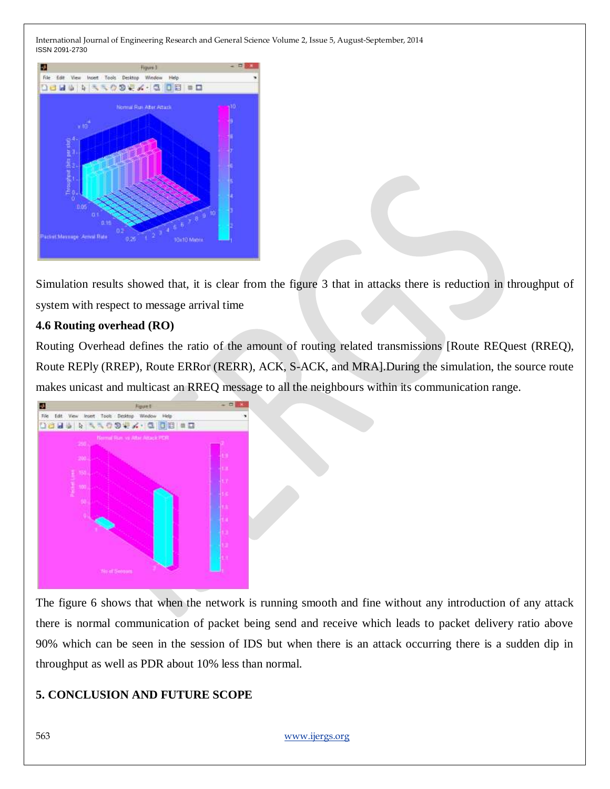

Simulation results showed that, it is clear from the figure 3 that in attacks there is reduction in throughput of system with respect to message arrival time

## **4.6 Routing overhead (RO)**

Routing Overhead defines the ratio of the amount of routing related transmissions [Route REQuest (RREQ), Route REPly (RREP), Route ERRor (RERR), ACK, S-ACK, and MRA].During the simulation, the source route makes unicast and multicast an RREQ message to all the neighbours within its communication range.



The figure 6 shows that when the network is running smooth and fine without any introduction of any attack there is normal communication of packet being send and receive which leads to packet delivery ratio above 90% which can be seen in the session of IDS but when there is an attack occurring there is a sudden dip in throughput as well as PDR about 10% less than normal.

## **5. CONCLUSION AND FUTURE SCOPE**

563 [www.ijergs.org](http://www.ijergs.org/)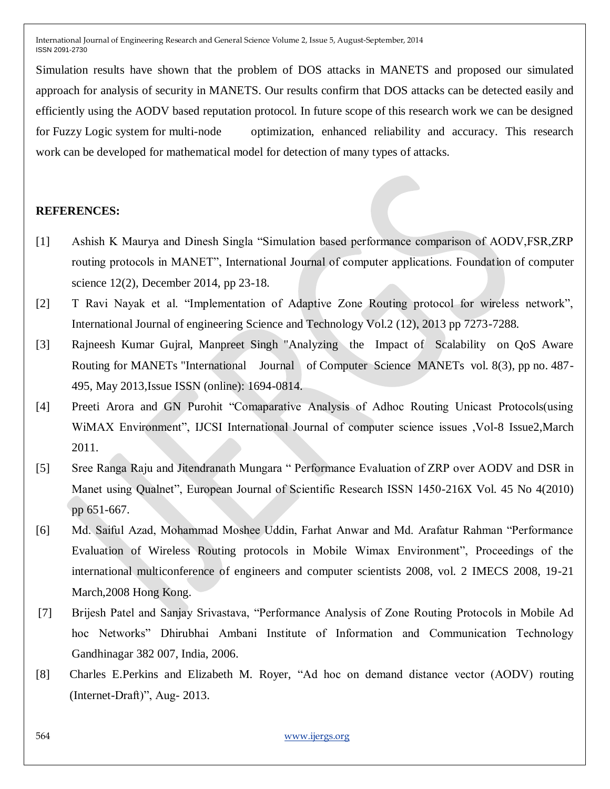Simulation results have shown that the problem of DOS attacks in MANETS and proposed our simulated approach for analysis of security in MANETS. Our results confirm that DOS attacks can be detected easily and efficiently using the AODV based reputation protocol. In future scope of this research work we can be designed for Fuzzy Logic system for multi-node optimization, enhanced reliability and accuracy. This research work can be developed for mathematical model for detection of many types of attacks.

### **REFERENCES:**

- [1] Ashish K Maurya and Dinesh Singla "Simulation based performance comparison of AODV,FSR,ZRP routing protocols in MANET", International Journal of computer applications. Foundation of computer science 12(2), December 2014, pp 23-18.
- [2] T Ravi Nayak et al. "Implementation of Adaptive Zone Routing protocol for wireless network", International Journal of engineering Science and Technology Vol.2 (12), 2013 pp 7273-7288.
- [3] Rajneesh Kumar Gujral, Manpreet Singh "Analyzing the Impact of Scalability on QoS Aware Routing for MANETs "International Journal of Computer Science MANETs vol. 8(3), pp no. 487- 495, May 2013,Issue ISSN (online): 1694-0814.
- [4] Preeti Arora and GN Purohit "Comaparative Analysis of Adhoc Routing Unicast Protocols(using WiMAX Environment", IJCSI International Journal of computer science issues ,Vol-8 Issue2,March 2011.
- [5] Sree Ranga Raju and Jitendranath Mungara " Performance Evaluation of ZRP over AODV and DSR in Manet using Qualnet", European Journal of Scientific Research ISSN 1450-216X Vol. 45 No 4(2010) pp 651-667.
- [6] Md. Saiful Azad, Mohammad Moshee Uddin, Farhat Anwar and Md. Arafatur Rahman "Performance Evaluation of Wireless Routing protocols in Mobile Wimax Environment", Proceedings of the international multiconference of engineers and computer scientists 2008, vol. 2 IMECS 2008, 19-21 March,2008 Hong Kong.
- [7] Brijesh Patel and Sanjay Srivastava, "Performance Analysis of Zone Routing Protocols in Mobile Ad hoc Networks" Dhirubhai Ambani Institute of Information and Communication Technology Gandhinagar 382 007, India, 2006.
- [8] Charles E.Perkins and Elizabeth M. Royer, "Ad hoc on demand distance vector (AODV) routing (Internet-Draft)", Aug- 2013.